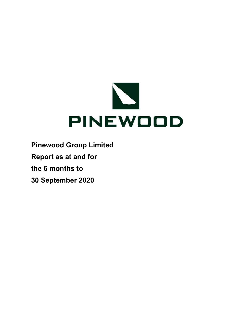

Pinewood Group Limited Report as at and for

the 6 months to

30 September 2020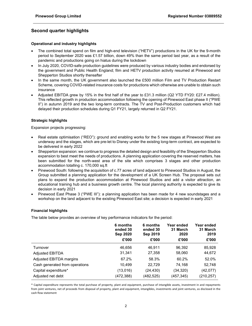# Second quarter highlights

### Operational and industry highlights

- The combined total spend on film and high-end television ("HETV") productions in the UK for the 9-month period to September 2020 was £1.57 billion, down 49% than the same period last year, as a result of the pandemic and productions going on hiatus during the lockdown
- In July 2020, COVID-safe production guidelines were produced by various industry bodies and endorsed by the government and Public Health England; film and HETV production activity resumed at Pinewood and Shepperton Studios shortly thereafter
- In the same month, the UK government also launched the £500 million Film and TV Production Restart Scheme, covering COVID-related insurance costs for productions which otherwise are unable to obtain such insurance
- Adjusted EBITDA grew by 15% in the first half of the year to £31.3 million (Q2 YTD FY20: £27.4 million). This reflected growth in production accommodation following the opening of Pinewood East phase II ("PWE II") in autumn 2019 and the two long-term contracts. The TV and Post-Production customers which had delayed their production schedules during Q1 FY21, largely returned in Q2 FY21.

### Strategic highlights

Expansion projects progressing:

- Real estate optimisation ("REO"): ground and enabling works for the 5 new stages at Pinewood West are underway and the stages, which are pre-let to Disney under the existing long-term contract, are expected to be delivered in early 2022
- Shepperton expansion: we continue to progress the detailed design and feasibility of the Shepperton Studios expansion to best meet the needs of productions. A planning application covering the reserved matters, has been submitted for the north-west area of the site which comprises 3 stages and other production accommodation totalling c. 170,000 sq.ft
- Pinewood South: following the acquisition of c.77 acres of land adjacent to Pinewood Studios in August, the Group submitted a planning application for the development of a UK Screen Hub. The proposal sets out plans to expand the production accommodation at Pinewood Studios and add a visitor attraction, an educational training hub and a business growth centre. The local planning authority is expected to give its decision in early 2021
- Pinewood East Phase 3 ("PWE III"): a planning application has been made for 4 new soundstages and a workshop on the land adjacent to the existing Pinewood East site; a decision is expected in early 2021

### Financial highlights

The table below provides an overview of key performance indicators for the period:

|                                | 6 months<br>ended 30<br><b>Sep 2020</b> | 6 months<br>ended 30<br><b>Sep 2019</b> | Year ended<br>31 March<br>2020 | Year ended<br>31 March<br>2019 |
|--------------------------------|-----------------------------------------|-----------------------------------------|--------------------------------|--------------------------------|
|                                | £'000                                   | £'000                                   | £'000                          | £'000                          |
| Turnover                       | 46,656                                  | 46.911                                  | 96,392                         | 85,928                         |
| <b>Adjusted EBITDA</b>         | 31,341                                  | 27,358                                  | 58,060                         | 44,672                         |
| Adjusted EBITDA margins        | 67.2%                                   | 58.3%                                   | 60.2%                          | 52.0%                          |
| Cash generated from operations | 10,499                                  | 22,729                                  | 74,168                         | 52,748                         |
| Capital expenditure*           | (13,016)                                | (24, 430)                               | (34, 320)                      | (42,077)                       |
| Adjusted net debt              | (472, 388)                              | (482, 525)                              | (457,345)                      | (210, 257)                     |

\* Capital expenditure represents the total purchase of property, plant and equipment, purchase of intangible assets, investment in and repayments from joint ventures, net of proceeds from disposal of property, plant and equipment, intangibles, investments and joint ventures, as disclosed in the cash flow statement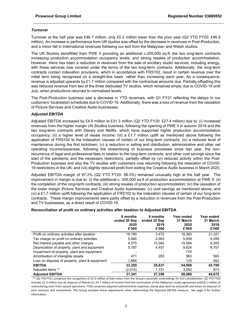### **Turnover**

Turnover at the half year was £46.7 million, only £0.2 million lower than the prior year (Q2 YTD FY20: £46.9 million). An increase in performance from UK studios was offset by the decrease in revenues in Post-Production, and a minor fall in International revenues following our exit from the Malaysian and Welsh studios.

The UK Studios benefitted from PWE II providing an additional c.205,000 sq.ft, the two long-term contracts increasing production accommodation occupancy levels, and strong resales of production accommodation. However, there has been a reduction in revenues from the sale of ancillary studio services, including energy, with these services now covered under the terms of the two long-term contracts. Additionally, the long-term contracts contain indexation provisions, which in accordance with FRS102, result in certain revenue over the initial term being recognised on a straight-line basis, rather than increasing each year. As a consequence, revenue is adjusted upwards by £1.7 million compared with the contractual amounts due. Partially offsetting this was reduced revenue from two of the three dedicated TV studios, which remained empty due to COVID-19 until July, when productions returned to normalised levels.

The Post-Production business saw a decrease in YTD revenues, with Q1 FY21 reflecting the delays in our customers' localisation schedules due to COVID-19. Additionally, there was a loss of revenue from the cessation of Picture Services and Creative Audio businesses.

### Adjusted EBITDA

Adjusted EBITDA increased by £4.0 million to £31.3 million (Q2 YTD FY20: £27.4 million) due to: (i) increased revenues from the higher margin UK Studios business, following the opening of PWE II in autumn 2019 and the two long-term contracts with Disney and Netflix, which have supported higher production accommodation occupancy; (ii) a higher level of resale income; (iii) a £1.7 million uplift as mentioned above following the application of FRS102 to the indexation clauses of certain of our long-term contracts; (iv) a reduced level of maintenance during the first lockdown; (v) a reduction in selling and distribution, administrative and other net operating income/expenses, following the streamlining of business processes since last year, the nonrecurrence of legal and professional fees in relation to the long-term contracts, and other cost savings since the start of the pandemic and the necessary restrictions; partially offset by (vi) reduced activity within the Post-Production business and also the TV studios with customers now returning following the relaxation of COVID-19 restrictions in the UK; and (vii) slightly reduced profit from exiting the Creative Audio business in March 2020.

Adjusted EBITDA margin of 67.2% (Q2 YTD FY20: 58.3%) remained unusually high at the half year. The improvement in margin is due to: (i) the additional c. 205,000 sq.ft of production accommodation at PWE II; (ii) the completion of the long-term contracts; (iii) strong resales of production accommodation; (iv) the cessation of the lower margin Picture Services and Creative Audio businesses; (v) cost savings as mentioned above; and (vi) a £1.7 million uplift following the application of FRS102 to the indexation clauses of certain of our long-term contracts. These margin improvements were partly offset by a reduction in revenues from the Post-Production and TV businesses, as a direct result of COVID-19.

### Reconciliation of profit on ordinary activities after taxation to Adjusted EBITDA

|                                                 | 6 months<br>ended 30 Sep<br>2020<br>£'000 | 6 months<br>ended 30 Sep<br>2019<br>£'000 | Year ended<br>31 March<br>2020<br>£'000 | Year ended<br>31 March<br>2019<br>£'000 |
|-------------------------------------------------|-------------------------------------------|-------------------------------------------|-----------------------------------------|-----------------------------------------|
| Profit on ordinary activities after taxation    | 16.190                                    | 3.472                                     | 18.383                                  | 21,321                                  |
| Tax charge on profit on ordinary activities     | 5.066                                     | 2.063                                     | 5.939                                   | 6.059                                   |
| Net interest payable and other charges          | 4.575                                     | 15.362                                    | 19.564                                  | 6,200                                   |
| Depreciation of property, plant and equipment   | 5.187                                     | 4.457                                     | 9.624                                   | 8,707                                   |
| Impairment of property, plant and equipment     |                                           |                                           | 770                                     |                                         |
| Amortisation of intangible assets               | 471                                       | 283                                       | 563                                     | 560                                     |
| Loss on disposal of property, plant & equipment | 1,866                                     |                                           | 125                                     | 952                                     |
| <b>EBITDA</b>                                   | 33,355                                    | 25.637                                    | 54,968                                  | 43.799                                  |
| Adjusted items **                               | (2,014)                                   | 1,721                                     | 3,092                                   | 873                                     |
| <b>Adiusted EBITDA</b>                          | 31.341                                    | 27.358                                    | 58.060                                  | 44.672                                  |

 \*\* Q2 YTD FY21 comprises the recognition of £2.0 million of loan notes from the Group's associate undertaking, for £nil consideration. Q2 YTD FY20 includes £2.3 million loss on disposal of Atlanta JV, £0.7 million of income from the termination of the Malaysian studio agreement and £0.1 million of restructuring costs from ceased operations. FY20 comprises adjusted administrative expenses, stamp duty land tax and profit and losses on disposal of joint ventures and investments. The Group excludes these adjustments when determining the Adjusted EBITDA measure. See page 9 for further information.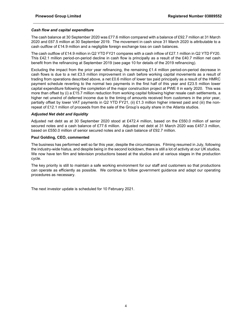### Cash flow and capital expenditure

The cash balance at 30 September 2020 was £77.6 million compared with a balance of £92.7 million at 31 March 2020 and £67.5 million at 30 September 2019. The movement in cash since 31 March 2020 is attributable to a cash outflow of £14.9 million and a negligible foreign exchange loss on cash balances.

The cash outflow of £14.9 million in Q2 YTD FY21 compares with a cash inflow of £27.1 million in Q2 YTD FY20. This £42.1 million period-on-period decline in cash flow is principally as a result of the £40.7 million net cash benefit from the refinancing at September 2019 (see page 10 for details of the 2019 refinancing).

Excluding the impact from the prior year refinancing, the remaining £1.4 million period-on-period decrease in cash flows is due to a net £3.5 million improvement in cash before working capital movements as a result of trading from operations described above, a net £0.6 million of lower tax paid principally as a result of the HMRC payment schedule reverting to the normal two payments in the first half of this year and £23.5 million lower capital expenditure following the completion of the major construction project at PWE II in early 2020. This was more than offset by (i) a £15.7 million reduction from working capital following higher resale cash settlements, a higher net unwind of deferred income due to the timing of amounts received from customers in the prior year, partially offset by lower VAT payments in Q2 YTD FY21, (ii) £1.3 million higher interest paid and (iii) the nonrepeat of £12.1 million of proceeds from the sale of the Group's equity share in the Atlanta studios.

### Adjusted Net debt and liquidity

Adjusted net debt as at 30 September 2020 stood at £472.4 million, based on the £550.0 million of senior secured notes and a cash balance of £77.6 million. Adjusted net debt at 31 March 2020 was £457.3 million, based on £550.0 million of senior secured notes and a cash balance of £92.7 million.

### Paul Golding, CEO, commented

The business has performed well so far this year, despite the circumstances. Filming resumed in July, following the industry-wide hiatus, and despite being in the second lockdown, there is still a lot of activity at our UK studios. We now have ten film and television productions based at the studios and at various stages in the production cycle.

The key priority is still to maintain a safe working environment for our staff and customers so that productions can operate as efficiently as possible. We continue to follow government guidance and adapt our operating procedures as necessary.

The next investor update is scheduled for 10 February 2021.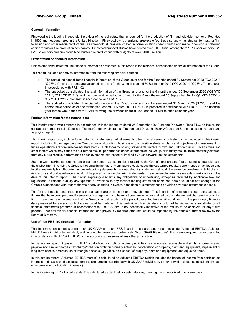#### General information

Pinewood is the leading independent provider of the real estate that is required for the production of film and television content. Founded in 1936 and headquartered in the United Kingdom, Pinewood owns premium, large-scale facilities also known as studios, for hosting film, television and other media productions. Our freehold studios are located in prime locations near London and make Pinewood a preferred choice for major film production companies. Pinewood branded studios have hosted over 2,000 films, among them 167 Oscar winners, 228 BAFTA winners and numerous blockbuster film productions with budgets of over \$100.0 million.

#### Presentation of financial information

Unless otherwise indicated, the financial information presented in this report is the historical consolidated financial information of the Group.

This report includes or derives information from the following financial sources:

- The unaudited consolidated financial information of the Group as of and for the 3 months ended 30 September 2020 ("Q2 2021", "Q2 FY21"), and the comparative period as of and for the 3 months ended 30 September 2019 ("Q2 2020" or "Q2 FY20"), prepared in accordance with FRS 102
- The unaudited consolidated financial information of the Group as of and for the 6 months ended 30 September 2020 ("Q2 YTD 2021", "Q2 YTD FY21"), and the comparative period as of and for the 6 months ended 30 September 2019 ("Q2 YTD 2020" or "Q2 YTD FY20"), prepared in accordance with FRS 102
- The audited consolidated financial information of the Group as of and for the year ended 31 March 2020 ("FY20"), and the comparative period as of and for the year ended 31 March 2019 ("FY19"), is prepared in accordance with FRS 102. The financial year for the Group runs from 1 April following the previous financial year end to 31 March each calendar year

#### Further information for the noteholders

This interim report was prepared in accordance with the indenture dated 25 September 2019 among Pinewood Finco PLC, as issuer, the guarantors named therein, Deutsche Trustee Company Limited, as Trustee, and Deutsche Bank AG London Branch, as security agent and as paying agent.

This interim report may include forward-looking statements. All statements other than statements of historical fact included in this interim report, including those regarding the Group's financial position, business and acquisition strategy, plans and objectives of management for future operations are forward-looking statements. Such forward-looking statements involve known and unknown risks, uncertainties and other factors which may cause the out-turned results, performance or achievements of the Group, or industry results, to be materially different from any future results, performance or achievements expressed or implied by such forward-looking statements.

Such forward-looking statements are based on numerous assumptions regarding the Group's present and future business strategies and the environment in which the Group will operate in the future. Many factors could cause the out-turned results, performance or achievements to differ materially from those in the forward-looking statements. Forward-looking statements should, therefore, be construed in light of such risk factors and undue reliance should not be placed on forward-looking statements. These forward-looking statements speak only as of the date of this interim report. The Group expressly disclaims any obligations or undertaking, except as required by applicable law and regulations to release publicly any updates or revisions to any forward-looking statement contained herein to reflect any change in the Group's expectations with regard thereto or any changes in events, conditions or circumstances on which any such statement is based.

The financial results presented in this presentation are preliminary and may change. This financial information includes calculations or figures that have been prepared internally by management and have not been reviewed or audited by our independent chartered accounting firm. There can be no assurance that the Group's actual results for the period presented herein will not differ from the preliminary financial data presented herein and such changes could be material. This preliminary financial data should not be viewed as a substitute for full financial statements prepared in accordance with FRS 102 and is not necessarily indicative of the results to be achieved for any future periods. This preliminary financial information, and previously reported amounts, could be impacted by the effects of further review by the Board of Directors.

#### Use of non-FRS 102 financial information

This interim report contains certain non-UK GAAP and non-IFRS financial measures and ratios, including, Adjusted EBITDA, Adjusted EBITDA margin, Adjusted net debt, and certain other measures (collectively, "Non-GAAP Measures") that are not required by, or presented in accordance with UK GAAP, IFRS or the accounting measures of any other jurisdiction.

In this interim report, "Adjusted EBITDA" is calculated as profit on ordinary activities before interest receivable and similar income, interest payable and similar charges, tax charge/credit on profit on ordinary activities, depreciation of property, plant and equipment, impairment of long-term assets, amortisation of intangible assets, gain/loss on disposal of property, plant and equipment, and adjusted items.

In this interim report, "Adjusted EBITDA margin" is calculated as Adjusted EBITDA (which includes the impact of income from participating interests and based on financial statements prepared in accordance with UK GAAP) divided by turnover (which does not include the impact of income from participating interests).

In this interim report, "adjusted net debt" is calculated as debt net of cash balances, ignoring the unamortised loan issue costs.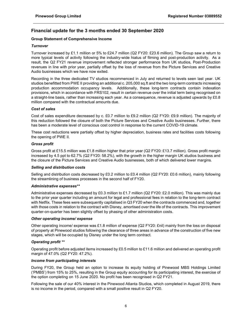# Financial update for the 3 months ended 30 September 2020

### Group Statement of Comprehensive Income

### **Turnover**

Turnover increased by £1.1 million or 5% to £24.7 million (Q2 FY20: £23.6 million). The Group saw a return to more typical levels of activity following the industry-wide hiatus of filming and post-production activity. As a result, the Q2 FY21 revenue improvement reflected stronger performance from UK studios, Post-Production revenues in line with prior year, partially offset by the loss of revenue from the Picture Services and Creative Audio businesses which we have now exited.

Recording in the three dedicated TV studios recommenced in July and returned to levels seen last year. UK studios benefitted from PWE II providing an additional c. 205,000 sq.ft and the two long-term contracts increasing production accommodation occupancy levels. Additionally, these long-term contracts contain indexation provisions, which in accordance with FRS102, result in certain revenue over the initial term being recognised on a straight-line basis, rather than increasing each year. As a consequence, revenue is adjusted upwards by £0.8 million compared with the contractual amounts due.

### Cost of sales

Cost of sales expenditure decreased by c. £0.7 million to £9.2 million (Q2 FY20: £9.9 million). The majority of this reduction followed the closure of both the Picture Services and Creative Audio businesses. Further, there has been a moderate level of conscious cost control in response to the current COVID-19 climate.

These cost reductions were partially offset by higher depreciation, business rates and facilities costs following the opening of PWE II.

### Gross profit

Gross profit at £15.5 million was £1.8 million higher that prior year (Q2 FY20: £13.7 million). Gross profit margin increased by 4.5 ppt to 62.7% (Q2 FY20: 58.2%), with the growth in the higher margin UK studios business and the closure of the Picture Services and Creative Audio businesses, both of which delivered lower margins.

### Selling and distribution costs

Selling and distribution costs decreased by £0.2 million to £0.4 million (Q2 FY20: £0.6 million), mainly following the streamlining of business processes in the second half of FY20.

### Administrative expenses\*\*

Administrative expenses decreased by £0.3 million to £1.7 million (Q2 FY20: £2.0 million). This was mainly due to the prior year quarter including an amount for legal and professional fees in relation to the long-term contract with Netflix. These fees were subsequently capitalised in Q3 FY20 when the contracts commenced and, together with those costs in relation to the contract with Disney, amortised over the life of the contracts. This improvement quarter-on-quarter has been slightly offset by phasing of other administration costs.

### Other operating income/ expense

Other operating income/ expense was £1.8 million of expense (Q2 FY20: £nil) mainly from the loss on disposal of property at Pinewood studios following the clearance of three areas in advance of the construction of five new stages, which will be occupied by Disney under the long term contract.

### Operating profit \*\*

Operating profit before adjusted items increased by £0.5 million to £11.6 million and delivered an operating profit margin of 47.0% (Q2 FY20: 47.2%).

### Income from participating interests

During FY20, the Group held an option to increase its equity holding of Pinewood MBS Holdings Limited ('PMBS') from 15% to 25%, resulting in the Group equity accounting for its participating interest, the exercise of the option completing on 15 June 2020. No profit has been recognised in Q2 FY21.

Following the sale of our 40% interest in the Pinewood Atlanta Studios, which completed in August 2019, there is no income in the period, compared with a small positive result in Q2 FY20.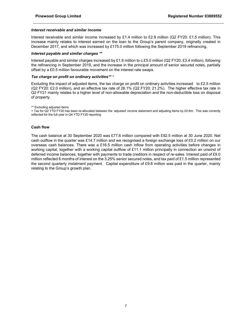### Interest receivable and similar income

Interest receivable and similar income increased by £1.4 million to £2.9 million (Q2 FY20: £1.5 million). This increase mainly relates to interest earned on the loan to the Group's parent company, originally created in December 2017, and which was increased by £175.0 million following the September 2019 refinancing.

### Interest payable and similar charges \*\*

Interest payable and similar charges increased by £1.6 million to c.£5.0 million (Q2 FY20: £3.4 million), following the refinancing in September 2019, and the increase in the principal amount of senior secured notes, partially offset by a £0.5 million favourable movement on the interest rate swaps.

### Tax charge on profit on ordinary activities\*\* +

Excluding the impact of adjusted items, the tax charge on profit on ordinary activities increased to £2.5 million (Q2 FY20: £2.0 million), and an effective tax rate of 26.1% (Q2 FY20: 21.2%). The higher effective tax rate in Q2 FY21 mainly relates to a higher level of non-allowable depreciation and the non-deductible loss on disposal of property.

\*\* Excluding adjusted items

+ Tax for Q2 YTD FY20 has been re-allocated between the 'adjusted' income statement and adjusting items by £0.6m. This was correctly reflected for the full year in Q4 YTD FY20 reporting

### Cash flow

The cash balance at 30 September 2020 was £77.6 million compared with £92.5 million at 30 June 2020. Net cash outflow in the quarter was £14.7 million and we recognised a foreign exchange loss of £0.2 million on our overseas cash balances. There was a £16.5 million cash inflow from operating activities before changes in working capital, together with a working capital outflow of £11.1 million principally in connection an unwind of deferred income balances, together with payments to trade creditors in respect of re-sales. Interest paid of £9.0 million reflected 6 months of interest on the 3.25% senior secured notes, and tax paid of £1.5 million represented the second quarterly instalment payment. Capital expenditure of £9.6 million was paid in the quarter, mainly relating to the Group's growth plan.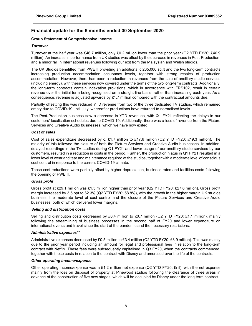# Financial update for the 6 months ended 30 September 2020

### Group Statement of Comprehensive Income

### **Turnover**

Turnover at the half year was £46.7 million, only £0.2 million lower than the prior year (Q2 YTD FY20: £46.9 million). An increase in performance from UK studios was offset by the decrease in revenues in Post-Production, and a minor fall in International revenues following our exit from the Malaysian and Welsh studios.

The UK Studios benefitted from PWE II providing an additional c.205,000 sq.ft and the two long-term contracts increasing production accommodation occupancy levels, together with strong resales of production accommodation. However, there has been a reduction in revenues from the sale of ancillary studio services (including energy), with these services now covered under the terms of the two long-term contracts. Additionally, the long-term contracts contain indexation provisions, which in accordance with FRS102, result in certain revenue over the initial term being recognised on a straight-line basis, rather than increasing each year. As a consequence, revenue is adjusted upwards by £1.7 million compared with the contractual amounts due.

Partially offsetting this was reduced YTD revenue from two of the three dedicated TV studios, which remained empty due to COVID-19 until July, whereafter productions have returned to normalised levels.

The Post-Production business saw a decrease in YTD revenues, with Q1 FY21 reflecting the delays in our customers' localisation schedules due to COVID-19. Additionally, there was a loss of revenue from the Picture Services and Creative Audio businesses, which we have now exited.

### Cost of sales

Cost of sales expenditure decreased by c. £1.7 million to £17.6 million (Q2 YTD FY20: £19.3 million). The majority of this followed the closure of both the Picture Services and Creative Audio businesses. In addition, delayed recordings in the TV studios during Q1 FY21 and lower usage of our ancillary studio services by our customers, resulted in a reduction in costs in the period. Further, the production hiatus in Q1 FY21 resulted in a lower level of wear and tear and maintenance required at the studios, together with a moderate level of conscious cost control in response to the current COVID-19 climate.

These cost reductions were partially offset by higher depreciation, business rates and facilities costs following the opening of PWE II.

### Gross profit

Gross profit at £29.1 million was £1.5 million higher than prior year (Q2 YTD FY20: £27.6 million). Gross profit margin increased by 3.5 ppt to 62.3% (Q2 YTD FY20: 58.8%), with the growth in the higher margin UK studios business, the moderate level of cost control and the closure of the Picture Services and Creative Audio businesses, both of which delivered lower margins.

### Selling and distribution costs

Selling and distribution costs decreased by £0.4 million to £0.7 million (Q2 YTD FY20: £1.1 million), mainly following the streamlining of business processes in the second half of FY20 and lower expenditure on international events and travel since the start of the pandemic and the necessary restrictions.

### Administrative expenses\*\*

Administrative expenses decreased by £0.5 million to £3.4 million (Q2 YTD FY20: £3.9 million). This was mainly due to the prior year period including an amount for legal and professional fees in relation to the long-term contract with Netflix. These fees were subsequently capitalised in Q3 FY20, when the contracts commenced, together with those costs in relation to the contract with Disney and amortised over the life of the contracts.

### Other operating income/expense

Other operating income/expense was a £1.2 million net expense (Q2 YTD FY20: £nil), with the net expense mainly from the loss on disposal of property at Pinewood studios following the clearance of three areas in advance of the construction of five new stages, which will be occupied by Disney under the long term contract.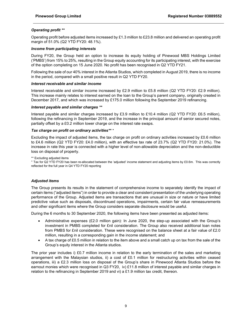### Operating profit \*\*

Operating profit before adjusted items increased by £1.3 million to £23.8 million and delivered an operating profit margin of 51.0% (Q2 YTD FY20: 48.1%).

### Income from participating interests

During FY20, the Group held an option to increase its equity holding of Pinewood MBS Holdings Limited ('PMBS') from 15% to 25%, resulting in the Group equity accounting for its participating interest, with the exercise of the option completing on 15 June 2020. No profit has been recognised in Q2 YTD FY21.

Following the sale of our 40% interest in the Atlanta Studios, which completed in August 2019, there is no income in the period, compared with a small positive result in Q2 YTD FY20.

### Interest receivable and similar income

Interest receivable and similar income increased by £2.9 million to £5.8 million (Q2 YTD FY20: £2.9 million). This increase mainly relates to interest earned on the loan to the Group's parent company, originally created in December 2017, and which was increased by £175.0 million following the September 2019 refinancing.

### Interest payable and similar charges \*\*

Interest payable and similar charges increased by £3.9 million to £10.4 million (Q2 YTD FY20: £6.5 million), following the refinancing in September 2019, and the increase in the principal amount of senior secured notes, partially offset by a £0.2 million lower charge on the interest rate swaps.

### Tax charge on profit on ordinary activities\*\* +

Excluding the impact of adjusted items, the tax charge on profit on ordinary activities increased by £0.6 million to £4.6 million (Q2 YTD FY20: £4.0 million), with an effective tax rate of 23.7% (Q2 YTD FY20: 21.0%). The increase in rate this year is connected with a higher level of non-allowable depreciation and the non-deductible loss on disposal of property.

\*\* Excluding adjusted items

+ Tax for Q2 YTD FY20 has been re-allocated between the 'adjusted' income statement and adjusting items by £0.6m. This was correctly reflected for the full year in Q4 YTD FY20 reporting

### Adjusted items

The Group presents its results in the statement of comprehensive income to separately identify the impact of certain items ("adjusted items") in order to provide a clear and consistent presentation of the underlying operating performance of the Group. Adjusted items are transactions that are unusual in size or nature or have limited predictive value such as disposals, discontinued operations, impairments, certain fair value remeasurements and other significant items where the Group considers separate disclosure would be useful.

During the 6 months to 30 September 2020, the following items have been presented as adjusted items:

- Administrative expenses (£2.0 million gain): In June 2020, the step-up associated with the Group's investment in PMBS completed for £nil consideration. The Group also received additional loan notes from PMBS for £nil consideration. These were recognised on the balance sheet at a fair value of £2.0 million, resulting in a corresponding gain in the income statement; and
- A tax charge of £0.5 million in relation to the item above and a small catch up on tax from the sale of the Group's equity interest in the Atlanta studios.

The prior year includes i) £0.7 million income in relation to the early termination of the sales and marketing arrangement with the Malaysian studios, ii) a cost of £0.1 million for restructuring activities within ceased operations, iii) a £2.3 million loss on disposal of the Group's share in Pinewood Atlanta Studios before the earnout monies which were recognised in Q3 FY20, iv) £11.8 million of interest payable and similar charges in relation to the refinancing in September 2019 and vi) a £1.9 million tax credit, thereon.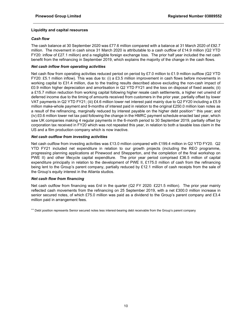### Liquidity and capital resources

### Cash flow

The cash balance at 30 September 2020 was £77.6 million compared with a balance at 31 March 2020 of £92.7 million. The movement in cash since 31 March 2020 is attributable to a cash outflow of £14.9 million (Q2 YTD FY20: inflow of £27.1 million) and a negligible foreign exchange loss. The prior half year included the net cash benefit from the refinancing in September 2019, which explains the majority of the change in the cash flows.

### Net cash inflow from operating activities

Net cash flow from operating activities reduced period on period by £7.0 million to £1.9 million outflow (Q2 YTD FY20: £5.1 million inflow). This was due to: (i) a £3.5 million improvement in cash flows before movements in working capital to £31.4 million, due to the trading results described above excluding the non-cash impact of £0.9 million higher depreciation and amortisation in Q2 YTD FY21 and the loss on disposal of fixed assets; (ii) a £15.7 million reduction from working capital following higher resale cash settlements, a higher net unwind of deferred income due to the timing of amounts received from customers in the prior year, partially offset by lower VAT payments in Q2 YTD FY21; (iii) £4.6 million lower net interest paid mainly due to Q2 FY20 including a £5.9 million make-whole payment and 9-months of interest paid in relation to the original £250.0 million loan notes as a result of the refinancing, marginally reduced by interest payable on the higher debt position<sup>++</sup> this year; and (iv) £0.6 million lower net tax paid following the change in the HMRC payment schedule enacted last year, which saw UK companies making 4 regular payments in the 6-month period to 30 September 2019, partially offset by corporation tax received in FY20 which was not repeated this year, in relation to both a taxable loss claim in the US and a film production company which is now inactive.

### Net cash outflow from investing activities

Net cash outflow from investing activities was £13.0 million compared with £199.4 million in Q2 YTD FY20. Q2 YTD FY21 included net expenditure in relation to our growth projects (including the REO programme, progressing planning applications at Pinewood and Shepperton, and the completion of the final workshop on PWE II) and other lifecycle capital expenditure. The prior year period comprised £36.5 million of capital expenditure principally in relation to the development of PWE II, £175.0 million of cash from the refinancing being lent to the Group's parent company, partially reduced by £12.1 million of cash receipts from the sale of the Group's equity interest in the Atlanta studios.

### Net cash flow from financing

Net cash outflow from financing was £nil in the quarter (Q2 FY 2020: £221.5 million). The prior year mainly reflected cash movements from the refinancing on 25 September 2019, with a net £300.0 million increase in senior secured notes, of which £75.0 million was paid as a dividend to the Group's parent company and £3.4 million paid in arrangement fees.

++ Debt position represents Senior secured notes less interest-bearing debt receivable from the Group's parent company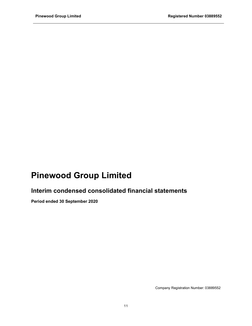# Pinewood Group Limited

# Interim condensed consolidated financial statements

Period ended 30 September 2020

Company Registration Number: 03889552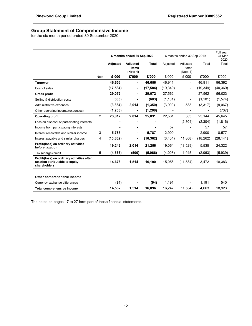# Group Statement of Comprehensive Income

for the six month period ended 30 September 2020

|                                                                                               |                | 6 months ended 30 Sep 2020 |                               |              |                          | 6 months ended 30 Sep 2019    | Full year<br>31 Mar<br>2020 |           |
|-----------------------------------------------------------------------------------------------|----------------|----------------------------|-------------------------------|--------------|--------------------------|-------------------------------|-----------------------------|-----------|
|                                                                                               |                | Adjusted                   | Adjusted<br>items<br>(Note 1) | <b>Total</b> | Adjusted                 | Adjusted<br>items<br>(Note 1) | Total                       | Total     |
|                                                                                               | Note           | £'000                      | £'000                         | £'000        | £'000                    | £'000                         | £'000                       | £'000     |
| <b>Turnover</b>                                                                               |                | 46,656                     |                               | 46,656       | 46,911                   | $\overline{\phantom{0}}$      | 46,911                      | 96,392    |
| Cost of sales                                                                                 |                | (17, 584)                  |                               | (17, 584)    | (19, 349)                | -                             | (19, 349)                   | (40, 369) |
| <b>Gross profit</b>                                                                           |                | 29,072                     |                               | 29,072       | 27,562                   | ۰                             | 27,562                      | 56,023    |
| Selling & distribution costs                                                                  |                | (683)                      |                               | (683)        | (1, 101)                 | $\overline{\phantom{0}}$      | (1,101)                     | (1,574)   |
| Administrative expenses                                                                       |                | (3, 364)                   | 2,014                         | (1, 350)     | (3,900)                  | 583                           | (3,317)                     | (8,067)   |
| Other operating income/(expenses)                                                             |                | (1,208)                    |                               | (1,208)      |                          | $\overline{\phantom{a}}$      |                             | (737)     |
| <b>Operating profit</b>                                                                       | $\overline{2}$ | 23,817                     | 2,014                         | 25,831       | 22,561                   | 583                           | 23,144                      | 45,645    |
| Loss on disposal of participating interests                                                   |                |                            |                               |              | $\overline{\phantom{m}}$ | (2,304)                       | (2,304)                     | (1, 816)  |
| Income from participating interests                                                           |                |                            |                               |              | 57                       |                               | 57                          | 57        |
| Interest receivable and similar income                                                        | 3              | 5,787                      |                               | 5,787        | 2,900                    |                               | 2,900                       | 8,577     |
| Interest payable and similar charges                                                          | 4              | (10, 362)                  |                               | (10, 362)    | (6, 454)                 | (11, 808)                     | (18, 262)                   | (28, 141) |
| Profit/(loss) on ordinary activities<br>before taxation                                       |                | 19,242                     | 2,014                         | 21,256       | 19,064                   | (13,529)                      | 5,535                       | 24,322    |
| Tax (charge)/credit                                                                           | 5              | (4, 566)                   | (500)                         | (5,066)      | (4,008)                  | 1,945                         | (2,063)                     | (5,939)   |
| Profit/(loss) on ordinary activities after<br>taxation attributable to equity<br>shareholders |                | 14,676                     | 1,514                         | 16,190       | 15,056                   | (11,584)                      | 3,472                       | 18,383    |
|                                                                                               |                |                            |                               |              |                          |                               |                             |           |
| Other comprehensive income                                                                    |                |                            |                               |              |                          |                               |                             |           |
| Currency exchange differences                                                                 |                | (94)                       |                               | (94)         | 1,191                    |                               | 1,191                       | 540       |
| Total comprehensive income                                                                    |                | 14,582                     | 1,514                         | 16,096       | 16,247                   | (11,584)                      | 4,663                       | 18,923    |

The notes on pages 17 to 27 form part of these financial statements.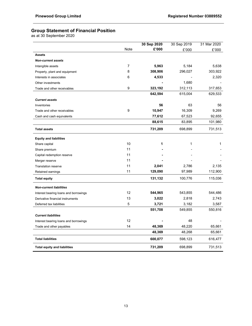# Group Statement of Financial Position

as at 30 September 2020

|                                       |      | 30 Sep 2020 | 30 Sep 2019 | 31 Mar 2020 |
|---------------------------------------|------|-------------|-------------|-------------|
|                                       | Note | £'000       | £'000       | £'000       |
| <b>Assets</b>                         |      |             |             |             |
| <b>Non-current assets</b>             |      |             |             |             |
| Intangible assets                     | 7    | 5,963       | 5,184       | 5,638       |
| Property, plant and equipment         | 8    | 308,906     | 296,027     | 303,922     |
| Interests in associates               | 6    | 4,533       |             | 2,320       |
| Other investments                     |      |             | 1,680       |             |
| Trade and other receivables           | 9    | 323,192     | 312,113     | 317,653     |
|                                       |      | 642,594     | 615,004     | 629,533     |
| <b>Current assets</b>                 |      |             |             |             |
| Inventories                           |      | 56          | 63          | 56          |
| Trade and other receivables           | 9    | 10,947      | 16,309      | 9,269       |
| Cash and cash equivalents             |      | 77,612      | 67,523      | 92,655      |
|                                       |      | 88,615      | 83,895      | 101,980     |
| <b>Total assets</b>                   |      | 731,209     | 698,899     | 731,513     |
| <b>Equity and liabilities</b>         |      |             |             |             |
| Share capital                         | 10   | 1           | 1           | 1           |
| Share premium                         | 11   |             |             |             |
| Capital redemption reserve            | 11   |             |             |             |
| Merger reserve                        | 11   |             |             |             |
| <b>Translation reserve</b>            | 11   | 2,041       | 2,786       | 2,135       |
| Retained earnings                     | 11   | 129,090     | 97,989      | 112,900     |
| <b>Total equity</b>                   |      | 131,132     | 100,776     | 115,036     |
| <b>Non-current liabilities</b>        |      |             |             |             |
| Interest bearing loans and borrowings | 12   | 544,965     | 543,855     | 544,486     |
| Derivative financial instruments      | 13   | 3,022       | 2,818       | 2,743       |
| Deferred tax liabilities              | 5    | 3,721       | 3,182       | 3,587       |
|                                       |      | 551,708     | 549,855     | 550,816     |
| <b>Current liabilities</b>            |      |             |             |             |
| Interest bearing loans and borrowings | 12   |             | 48          |             |
| Trade and other payables              | 14   | 48,369      | 48,220      | 65,661      |
|                                       |      | 48,369      | 48,268      | 65,661      |
| <b>Total liabilities</b>              |      | 600,077     | 598,123     | 616,477     |
| <b>Total equity and liabilities</b>   |      | 731,209     | 698,899     | 731,513     |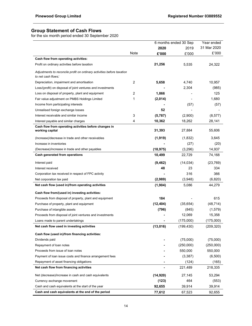# Group Statement of Cash Flows

for the six month period ended 30 September 2020

|                                                                                              |      |           | 6 months ended 30 Sep | Year ended  |
|----------------------------------------------------------------------------------------------|------|-----------|-----------------------|-------------|
|                                                                                              |      | 2020      | 2019                  | 31 Mar 2020 |
|                                                                                              | Note | £'000     | £'000                 | £'000       |
| Cash flow from operating activities:                                                         |      |           |                       |             |
| Profit on ordinary activities before taxation                                                |      | 21,256    | 5,535                 | 24,322      |
| Adjustments to reconcile profit on ordinary activities before taxation<br>to net cash flows: |      |           |                       |             |
| Depreciation, impairment and amortisation                                                    | 2    | 5,658     | 4,740                 | 10,957      |
| Loss/(profit) on disposal of joint ventures and investments                                  |      |           | 2,304                 | (985)       |
| Loss on disposal of property, plant and equipment                                            | 2    | 1,866     |                       | 125         |
| Fair value adjustment on PMBS Holdings Limited                                               | 1    | (2,014)   |                       | 1,680       |
| Income from participating interests                                                          |      |           | (57)                  | (57)        |
| Unrealised foreign exchange losses                                                           |      | 52        |                       |             |
| Interest receivable and similar income                                                       | 3    | (5,787)   | (2,900)               | (8, 577)    |
| Interest payable and similar charges                                                         | 4    | 10,362    | 18,262                | 28,141      |
| Cash flow from operating activities before changes in<br>working capital                     |      | 31,393    | 27,884                | 55,606      |
|                                                                                              |      | (1,919)   | (1,832)               | 3,645       |
| (Increase)/decrease in trade and other receivables                                           |      |           |                       |             |
| Increase in inventories                                                                      |      |           | (27)                  | (20)        |
| (Decrease)/increase in trade and other payables                                              |      | (18, 975) | (3,296)               | 14,937      |
| Cash generated from operations                                                               |      | 10,499    | 22,729                | 74,168      |
| Interest paid                                                                                |      | (9, 462)  | (14, 034)             | (23, 769)   |
| Interest received                                                                            |      | 48        | 23                    | 334         |
| Corporation tax received in respect of FPC activity                                          |      |           | 316                   | 366         |
| Net corporation tax paid                                                                     |      | (2,989)   | (3,948)               | (6,820)     |
| Net cash flow (used in)/from operating activities                                            |      | (1, 904)  | 5,086                 | 44,279      |
| Cash flow from/(used in) investing activities:                                               |      |           |                       |             |
| Proceeds from disposal of property, plant and equipment                                      |      | 184       |                       | 615         |
| Purchase of property, plant and equipment                                                    |      | (12, 404) | (35, 654)             | (48, 714)   |
| Purchase of intangible assets                                                                |      | (796)     | (845)                 | (1,579)     |
| Proceeds from disposal of joint ventures and investments                                     |      |           | 12,069                | 15,358      |
| Loans made to parent undertakings                                                            |      |           | (175,000)             | (175,000)   |
| Net cash flow used in investing activities                                                   |      | (13, 016) | (199, 430)            | (209, 320)  |
| Cash flow (used in)/from financing activities:                                               |      |           |                       |             |
| Dividends paid                                                                               |      |           | (75,000)              | (75,000)    |
| Repayment of loan notes                                                                      |      |           | (250,000)             | (250,000)   |
| Proceeds from issue of loan notes                                                            |      |           | 550,000               | 550,000     |
| Payment of loan issue costs and finance arrangement fees                                     |      |           | (3, 387)              | (6,500)     |
| Repayment of asset financing obligations                                                     |      |           | (124)                 | (165)       |
| Net cash flow from financing activities                                                      |      |           | 221,489               | 218,335     |
| Net (decrease)/increase in cash and cash equivalents                                         |      | (14, 920) | 27,145                | 53,294      |
| Currency exchange movement                                                                   |      | (123)     | 464                   | (553)       |
| Cash and cash equivalents at the start of the year                                           |      | 92,655    | 39,914                | 39,914      |
| Cash and cash equivalents at the end of the period                                           |      | 77,612    | 67,523                | 92,655      |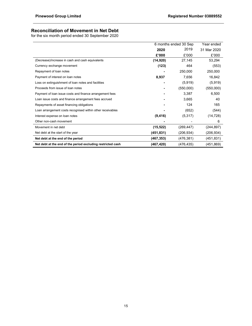# Reconciliation of Movement in Net Debt

for the six month period ended 30 September 2020

|                                                             |            | 6 months ended 30 Sep | Year ended  |
|-------------------------------------------------------------|------------|-----------------------|-------------|
|                                                             | 2020       | 2019                  | 31 Mar 2020 |
|                                                             | £'000      | £'000                 | £'000       |
| (Decrease)/increase in cash and cash equivalents            | (14, 920)  | 27,145                | 53,294      |
| Currency exchange movement                                  | (123)      | 464                   | (553)       |
| Repayment of loan notes                                     |            | 250,000               | 250,000     |
| Payment of interest on loan notes                           | 8,937      | 7,656                 | 16,842      |
| Loss on extinguishment of loan notes and facilities         |            | (5,919)               | (5, 919)    |
| Proceeds from issue of loan notes                           |            | (550,000)             | (550,000)   |
| Payment of loan issue costs and finance arrangement fees    |            | 3,387                 | 6,500       |
| Loan issue costs and finance arrangement fees accrued       |            | 3,665                 | 40          |
| Repayments of asset financing obligations                   |            | 124                   | 165         |
| Loan arrangement costs recognised within other receivables  |            | (652)                 | (544)       |
| Interest expense on loan notes                              | (9, 416)   | (5,317)               | (14, 728)   |
| Other non-cash movement                                     |            |                       | 6           |
| Movement in net debt                                        | (15, 522)  | (269, 447)            | (244, 897)  |
| Net debt at the start of the year                           | (451,831)  | (206, 934)            | (206,934)   |
| Net debt at the end of the period                           | (467, 353) | (476, 381)            | (451, 831)  |
| Net debt at the end of the period excluding restricted cash | (467, 420) | (476, 435)            | (451, 869)  |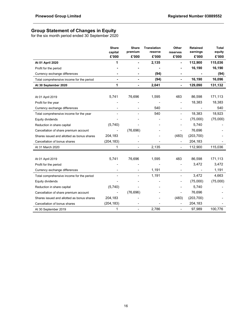# Group Statement of Changes in Equity

for the six month period ended 30 September 2020

|                                            | <b>Share</b><br>capital<br>£'000 | <b>Share</b><br>premium<br>£'000 | <b>Translation</b><br>reserve<br>£'000 | Other<br>reserves<br>£'000   | <b>Retained</b><br>earnings<br>£'000 | <b>Total</b><br>equity<br>£'000 |
|--------------------------------------------|----------------------------------|----------------------------------|----------------------------------------|------------------------------|--------------------------------------|---------------------------------|
| At 01 April 2020                           | 1                                |                                  | 2,135                                  |                              | 112,900                              | 115,036                         |
| Profit for the period                      |                                  |                                  |                                        |                              | 16,190                               | 16,190                          |
| Currency exchange differences              |                                  |                                  | (94)                                   |                              |                                      | (94)                            |
| Total comprehensive income for the period  |                                  |                                  | (94)                                   | ä,                           | 16,190                               | 16,096                          |
| At 30 September 2020                       | 1                                |                                  | 2,041                                  | ۰                            | 129,090                              | 131,132                         |
|                                            |                                  |                                  |                                        |                              |                                      |                                 |
| At 01 April 2019                           | 5,741                            | 76,696                           | 1,595                                  | 483                          | 86,598                               | 171,113                         |
| Profit for the year                        |                                  |                                  |                                        |                              | 18,383                               | 18,383                          |
| Currency exchange differences              |                                  |                                  | 540                                    | $\overline{\phantom{a}}$     |                                      | 540                             |
| Total comprehensive income for the year    |                                  |                                  | 540                                    | $\blacksquare$               | 18,383                               | 18,923                          |
| Equity dividends                           |                                  |                                  |                                        |                              | (75,000)                             | (75,000)                        |
| Reduction in share capital                 | (5,740)                          |                                  |                                        |                              | 5,740                                |                                 |
| Cancellation of share premium account      |                                  | (76, 696)                        |                                        | $\overline{\phantom{0}}$     | 76,696                               |                                 |
| Shares issued and allotted as bonus shares | 204,183                          |                                  |                                        | (483)                        | (203, 700)                           |                                 |
| Cancellation of bonus shares               | (204, 183)                       |                                  |                                        | $\overline{\phantom{a}}$     | 204,183                              |                                 |
| At 31 March 2020                           | 1                                |                                  | 2,135                                  | $\blacksquare$               | 112,900                              | 115,036                         |
|                                            |                                  |                                  |                                        |                              |                                      |                                 |
| At 01 April 2019                           | 5,741                            | 76,696                           | 1,595                                  | 483                          | 86,598                               | 171,113                         |
| Profit for the period                      |                                  |                                  |                                        |                              | 3,472                                | 3,472                           |
| Currency exchange differences              |                                  |                                  | 1,191                                  | $\qquad \qquad \blacksquare$ | $\overline{\phantom{m}}$             | 1,191                           |
| Total comprehensive income for the period  |                                  |                                  | 1,191                                  |                              | 3,472                                | 4,663                           |
| Equity dividends                           |                                  |                                  |                                        |                              | (75,000)                             | (75,000)                        |
| Reduction in share capital                 | (5,740)                          |                                  |                                        |                              | 5,740                                |                                 |
| Cancellation of share premium account      |                                  | (76, 696)                        |                                        | $\overline{\phantom{a}}$     | 76,696                               |                                 |
| Shares issued and allotted as bonus shares | 204,183                          |                                  |                                        | (483)                        | (203, 700)                           |                                 |
| Cancellation of bonus shares               | (204, 183)                       |                                  |                                        | $\overline{\phantom{a}}$     | 204,183                              |                                 |
| At 30 September 2019                       | 1                                |                                  | 2,786                                  |                              | 97,989                               | 100,776                         |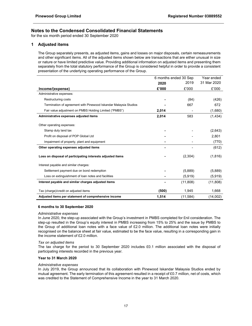for the six month period ended 30 September 2020

### 1 Adjusted items

 The Group separately presents, as adjusted items, gains and losses on major disposals, certain remeasurements and other significant items. All of the adjusted items shown below are transactions that are either unusual in size or nature or have limited predictive value. Providing additional information on adjusted items and presenting them separately from the total statutory performance of the Group is considered helpful in order to provide a consistent presentation of the underlying operating performance of the Group.

|                                                                  | 6 months ended 30 Sep |           | Year ended  |
|------------------------------------------------------------------|-----------------------|-----------|-------------|
|                                                                  | 2020                  | 2019      | 31 Mar 2020 |
| Income/(expense)                                                 | £'000                 | £'000     | £'000       |
| Administrative expenses:                                         |                       |           |             |
| Restructuring costs                                              |                       | (84)      | (426)       |
| Termination of agreement with Pinewood Iskandar Malaysia Studios |                       | 667       | 672         |
| Fair value adjustment on PMBS Holding Limited ("PMBS")           | 2,014                 |           | (1,680)     |
| Administrative expenses adjusted items                           | 2,014                 | 583       | (1, 434)    |
| Other operating expenses:                                        |                       |           |             |
|                                                                  |                       |           |             |
| Stamp duty land tax                                              |                       |           | (2,643)     |
| Profit on disposal of POP Global Ltd                             |                       |           | 2,801       |
| Impairment of property, plant and equipment                      |                       |           | (770)       |
| Other operating expenses adjusted items                          |                       |           | (612)       |
| Loss on disposal of participating interests adjusted items       |                       | (2,304)   | (1,816)     |
| Interest payable and similar charges:                            |                       |           |             |
| Settlement payment due on bond redemption                        |                       | (5,889)   | (5,889)     |
| Loss on extinguishment of loan notes and facilities              |                       | (5,919)   | (5,919)     |
| Interest payable and similar charges adjusted items              |                       | (11,808)  | (11, 808)   |
| Tax (charge)/credit on adjusted items                            | (500)                 | 1,945     | 1,668       |
| Adjusted items per statement of comprehensive income             | 1,514                 | (11, 584) | (14,002)    |

### 6 months to 30 September 2020

### Administrative expenses

 In June 2020, the step-up associated with the Group's investment in PMBS completed for £nil consideration. The step-up resulted in the Group's equity interest in PMBS increasing from 15% to 25% and the issue by PMBS to the Group of additional loan notes with a face value of £2.0 million. The additional loan notes were initially recognised on the balance sheet at fair value, estimated to be the face value, resulting in a corresponding gain in the income statement of £2.0 million.

### Tax on adjusted items

 The tax charge for the period to 30 September 2020 includes £0.1 million associated with the disposal of participating interests recorded in the previous year.

### Year to 31 March 2020

### Administrative expenses

 In July 2019, the Group announced that its collaboration with Pinewood Iskandar Malaysia Studios ended by mutual agreement. The early termination of this agreement resulted in a receipt of £0.7 million, net of costs, which was credited to the Statement of Comprehensive Income in the year to 31 March 2020.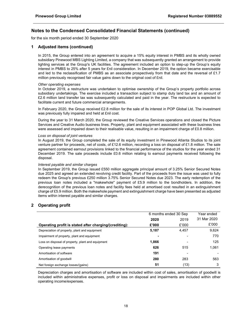for the six month period ended 30 September 2020

### 1 Adjusted items (continued)

In 2015, the Group entered into an agreement to acquire a 15% equity interest in PMBS and its wholly owned subsidiary Pinewood MBS Lighting Limited, a company that was subsequently granted an arrangement to provide lighting services at the Group's UK facilities. The agreement included an option to step-up the Group's equity interest in PMBS to 25% after 5 years for £nil consideration. In December 2019, the option became exercisable and led to the reclassification of PMBS as an associate prospectively from that date and the reversal of £1.7 million previously recognised fair value gains down to the original cost of £nil.

### Other operating expenses

 In October 2019, a restructure was undertaken to optimise ownership of the Group's property portfolio across subsidiary undertakings. The exercise included a transaction subject to stamp duty land tax and an amount of £2.6 million land transfer tax was subsequently calculated and paid in the year. The restructure is expected to facilitate current and future commercial arrangements.

 In February 2020, the Group received £2.8 million for the sale of its interest in POP Global Ltd. The investment was previously fully impaired and held at £nil cost.

 During the year to 31 March 2020, the Group reviewed the Creative Services operations and closed the Picture Services and Creative Audio business lines. Property, plant and equipment associated with these business lines were assessed and impaired down to their realisable value, resulting in an impairment charge of £0.8 million.

### Loss on disposal of joint ventures

 In August 2019, the Group completed the sale of its equity investment in Pinewood Atlanta Studios to its joint venture partner for proceeds, net of costs, of £12.6 million, recording a loss on disposal of £1.8 million. The sale agreement contained earnout provisions linked to the financial performance of the studios for the year ended 31 December 2019. The sale proceeds include £0.6 million relating to earnout payments received following the disposal.

### Interest payable and similar charges

 In September 2019, the Group issued £550 million aggregate principal amount of 3.25% Senior Secured Notes due 2025 and agreed an extended revolving credit facility. Part of the proceeds from the issue was used to fully redeem the Group's previous £250 million 3.75% Senior Secured Notes due 2023. The early redemption of the previous loan notes included a "makewhole" payment of £5.9 million to the bondholders. In addition, the derecognition of the previous loan notes and facility fees held at amortised cost resulted in an extinguishment charge of £5.9 million. Both the makewhole payment and extinguishment charge have been presented as adjusted items within interest payable and similar charges.

### 2 Operating profit

|                                                        | 6 months ended 30 Sep |       | Year ended  |
|--------------------------------------------------------|-----------------------|-------|-------------|
|                                                        | 2020                  | 2019  | 31 Mar 2020 |
| Operating profit is stated after charging/(crediting): | £'000                 | £'000 | £'000       |
| Depreciation of property, plant and equipment          | 5,187                 | 4,457 | 9.624       |
| Impairment of property, plant and equipment            |                       |       | 770         |
| Loss on disposal of property, plant and equipment      | 1,866                 |       | 125         |
| Operating lease payments                               | 626                   | 515   | 1.061       |
| Amortisation of software                               | 191                   |       |             |
| Amortisation of goodwill                               | 280                   | 283   | 563         |
| Net foreign exchange losses/(gains)                    | 51                    | (13)  | 3           |

 Depreciation charges and amortisation of software are included within cost of sales, amortisation of goodwill is included within administrative expenses, profit or loss on disposal and impairments are included within other operating income/expenses.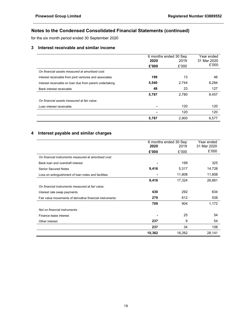for the six month period ended 30 September 2020

# 3 Interest receivable and similar income

|                                                         |       | 6 months ended 30 Sep | Year ended  |  |
|---------------------------------------------------------|-------|-----------------------|-------------|--|
|                                                         | 2020  | 2019                  | 31 Mar 2020 |  |
|                                                         | £'000 | £'000                 | £'000       |  |
| On financial assets measured at amortised cost:         |       |                       |             |  |
| Interest receivable from joint ventures and associates  | 199   | 13                    | 46          |  |
| Interest receivable on loan due from parent undertaking | 5,540 | 2,744                 | 8,284       |  |
| Bank interest receivable                                | 48    | 23                    | 127         |  |
|                                                         | 5,787 | 2.780                 | 8,457       |  |
| On financial assets measured at fair value:             |       |                       |             |  |
| Loan interest receivable                                |       | 120                   | 120         |  |
|                                                         |       | 120                   | 120         |  |
|                                                         | 5,787 | 2,900                 | 8,577       |  |

# 4 Interest payable and similar charges

|                                                          |        | 6 months ended 30 Sep | Year ended  |
|----------------------------------------------------------|--------|-----------------------|-------------|
|                                                          | 2020   | 2019                  | 31 Mar 2020 |
|                                                          | £'000  | £'000                 | £'000       |
| On financial instruments measured at amortised cost:     |        |                       |             |
| Bank loan and overdraft interest                         | -      | 199                   | 325         |
| <b>Senior Secured Notes</b>                              | 9,416  | 5,317                 | 14,728      |
| Loss on extinguishment of loan notes and facilities      |        | 11,808                | 11,808      |
|                                                          | 9,416  | 17,324                | 26,861      |
| On financial instruments measured at fair value:         |        |                       |             |
| Interest rate swap payments                              | 430    | 292                   | 634         |
| Fair value movements of derivative financial instruments | 279    | 612                   | 538         |
|                                                          | 709    | 904                   | 1,172       |
| Not on financial instruments:                            |        |                       |             |
| Finance lease interest                                   |        | 25                    | 54          |
| Other interest                                           | 237    | 9                     | 54          |
|                                                          | 237    | 34                    | 108         |
|                                                          | 10,362 | 18,262                | 28,141      |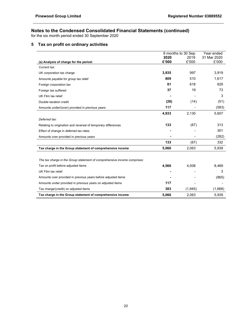for the six month period ended 30 September 2020

# 5 Tax on profit on ordinary activities

|                                                                          |       | 6 months to 30 Sep | Year ended  |
|--------------------------------------------------------------------------|-------|--------------------|-------------|
|                                                                          | 2020  | 2019               | 31 Mar 2020 |
| (a) Analysis of charge for the period:                                   | £'000 | £'000              | £'000       |
| Current tax:                                                             |       |                    |             |
| UK corporation tax charge                                                | 3,935 | 997                | 3,919       |
| Amounts payable for group tax relief                                     | 809   | 510                | 1,617       |
| Foreign corporation tax                                                  | 61    | 618                | 629         |
| Foreign tax suffered                                                     | 37    | 19                 | 73          |
| UK Film tax relief                                                       |       |                    | 3           |
| Double taxation credit                                                   | (26)  | (14)               | (51)        |
| Amounts under/(over) provided in previous years                          | 117   |                    | (583)       |
|                                                                          | 4,933 | 2,130              | 5,607       |
| Deferred tax:                                                            |       |                    |             |
| Relating to origination and reversal of temporary differences            | 133   | (67)               | 313         |
| Effect of change in deferred tax rates                                   |       |                    | 301         |
| Amounts over provided in previous years                                  |       |                    | (282)       |
|                                                                          | 133   | (67)               | 332         |
| Tax charge in the Group statement of comprehensive income                | 5,066 | 2,063              | 5,939       |
|                                                                          |       |                    |             |
| The tax charge in the Group statement of comprehensive income comprises: |       |                    |             |
| Tax on profit before adjusted items                                      | 4,566 | 4,008              | 8,469       |
| UK Film tax relief                                                       |       |                    | 3           |
| Amounts over provided in previous years before adjusted items            |       |                    | (865)       |
| Amounts under provided in previous years on adjusted items               | 117   |                    |             |
| Tax charge/(credit) on adjusted items                                    | 383   | (1,945)            | (1,668)     |
| Tax charge in the Group statement of comprehensive income                | 5,066 | 2,063              | 5,939       |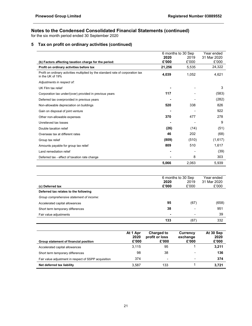for the six month period ended 30 September 2020

# 5 Tax on profit on ordinary activities (continued)

| 2020<br>2019<br>£'000<br>£'000<br>(b) Factors affecting taxation charge for the period:<br>Profit on ordinary activities before tax<br>21,256<br>5,535<br>Profit on ordinary activities multiplied by the standard rate of corporation tax<br>4,039<br>1,052<br>in the UK of 19%<br>Adjustments in respect of:<br>UK Film tax relief<br>117<br>Corporation tax under/(over) provided in previous years<br>Deferred tax overprovided in previous years<br>338<br>520<br>Non-allowable depreciation on buildings<br>Gain on disposal of joint venture<br>370<br>477<br>Other non-allowable expenses<br>Unrelieved tax losses<br>(26)<br>(14)<br>Double taxation relief<br>46<br>202<br>Overseas tax at different rates | 6 months to 30 Sep | Year ended  |
|----------------------------------------------------------------------------------------------------------------------------------------------------------------------------------------------------------------------------------------------------------------------------------------------------------------------------------------------------------------------------------------------------------------------------------------------------------------------------------------------------------------------------------------------------------------------------------------------------------------------------------------------------------------------------------------------------------------------|--------------------|-------------|
|                                                                                                                                                                                                                                                                                                                                                                                                                                                                                                                                                                                                                                                                                                                      |                    | 31 Mar 2020 |
|                                                                                                                                                                                                                                                                                                                                                                                                                                                                                                                                                                                                                                                                                                                      |                    | £'000       |
|                                                                                                                                                                                                                                                                                                                                                                                                                                                                                                                                                                                                                                                                                                                      |                    | 24,322      |
|                                                                                                                                                                                                                                                                                                                                                                                                                                                                                                                                                                                                                                                                                                                      |                    | 4,621       |
|                                                                                                                                                                                                                                                                                                                                                                                                                                                                                                                                                                                                                                                                                                                      |                    |             |
|                                                                                                                                                                                                                                                                                                                                                                                                                                                                                                                                                                                                                                                                                                                      |                    | 3           |
|                                                                                                                                                                                                                                                                                                                                                                                                                                                                                                                                                                                                                                                                                                                      |                    | (583)       |
|                                                                                                                                                                                                                                                                                                                                                                                                                                                                                                                                                                                                                                                                                                                      |                    | (282)       |
|                                                                                                                                                                                                                                                                                                                                                                                                                                                                                                                                                                                                                                                                                                                      |                    | 826         |
|                                                                                                                                                                                                                                                                                                                                                                                                                                                                                                                                                                                                                                                                                                                      |                    | 922         |
|                                                                                                                                                                                                                                                                                                                                                                                                                                                                                                                                                                                                                                                                                                                      |                    | 278         |
|                                                                                                                                                                                                                                                                                                                                                                                                                                                                                                                                                                                                                                                                                                                      |                    | 9           |
|                                                                                                                                                                                                                                                                                                                                                                                                                                                                                                                                                                                                                                                                                                                      |                    | (51)        |
|                                                                                                                                                                                                                                                                                                                                                                                                                                                                                                                                                                                                                                                                                                                      |                    | (68)        |
| (809)<br>(510)<br>Group tax relief                                                                                                                                                                                                                                                                                                                                                                                                                                                                                                                                                                                                                                                                                   |                    | (1,617)     |
| 809<br>510<br>Amounts payable for group tax relief                                                                                                                                                                                                                                                                                                                                                                                                                                                                                                                                                                                                                                                                   |                    | 1,617       |
| Land remediation relief                                                                                                                                                                                                                                                                                                                                                                                                                                                                                                                                                                                                                                                                                              |                    | (39)        |
| 8<br>Deferred tax - effect of taxation rate change                                                                                                                                                                                                                                                                                                                                                                                                                                                                                                                                                                                                                                                                   |                    | 303         |
| 5,066<br>2,063                                                                                                                                                                                                                                                                                                                                                                                                                                                                                                                                                                                                                                                                                                       |                    | 5,939       |
|                                                                                                                                                                                                                                                                                                                                                                                                                                                                                                                                                                                                                                                                                                                      |                    |             |

|                                          | 6 months to 30 Sep |       | Year ended  |
|------------------------------------------|--------------------|-------|-------------|
|                                          | 2020               | 2019  | 31 Mar 2020 |
| (c) Deferred tax                         | £'000              | £'000 | £'000       |
| Deferred tax relates to the following    |                    |       |             |
| Group comprehensive statement of income: |                    |       |             |
| Accelerated capital allowances           | 95                 | (67)  | (658)       |
| Short term temporary differences         | 38                 | -     | 951         |
| Fair value adjustments                   | $\blacksquare$     | ۰     | 39          |
|                                          | 133                | (67)  | 332         |

| Group statement of financial position                | At 1 Apr<br>2020<br>£'000 | <b>Charged to</b><br>profit or loss<br>£'000 | Currency<br>exchange<br>£'000 | At 30 Sep<br>2020<br>£'000 |
|------------------------------------------------------|---------------------------|----------------------------------------------|-------------------------------|----------------------------|
| Accelerated capital allowances                       | 3.115                     | 95                                           |                               | 3,211                      |
| Short term temporary differences                     | 98                        | 38                                           | $\overline{\phantom{0}}$      | 136                        |
| Fair value adjustment in respect of SSPP acquisition | 374                       | $\overline{\phantom{a}}$                     | $\overline{\phantom{0}}$      | 374                        |
| Net deferred tax liability                           | 3.587                     | 133                                          |                               | 3.721                      |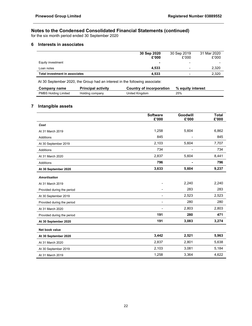for the six month period ended 30 September 2020

# 6 Interests in associates

|                                | 30 Sep 2020              | 30 Sep 2019              | 31 Mar 2020 |
|--------------------------------|--------------------------|--------------------------|-------------|
|                                | £'000                    | £'000                    | £'000       |
| Equity investment              | $\overline{\phantom{0}}$ | -                        | -           |
| Loan notes                     | 4.533                    | $\overline{\phantom{0}}$ | 2,320       |
| Total investment in associates | 4.533                    | -                        | 2,320       |

At 30 September 2020, the Group had an interest in the following associate:

| Company name                | <b>Principal activity</b> | Country of incorporation | % equity interest |
|-----------------------------|---------------------------|--------------------------|-------------------|
| <b>PMBS Holding Limited</b> | Holding company           | United Kingdom           | 25%               |

# 7 Intangible assets

|                            | <b>Software</b><br>£'000 | Goodwill<br>£'000 | <b>Total</b><br>£'000 |
|----------------------------|--------------------------|-------------------|-----------------------|
| Cost                       |                          |                   |                       |
| At 31 March 2019           | 1,258                    | 5,604             | 6,862                 |
| Additions                  | 845                      |                   | 845                   |
| At 30 September 2019       | 2,103                    | 5,604             | 7,707                 |
| Additions                  | 734                      |                   | 734                   |
| At 31 March 2020           | 2,837                    | 5,604             | 8,441                 |
| Additions                  | 796                      |                   | 796                   |
| At 30 September 2020       | 3,633                    | 5,604             | 9,237                 |
| <b>Amortisation</b>        |                          |                   |                       |
| At 31 March 2019           |                          | 2,240             | 2,240                 |
| Provided during the period |                          | 283               | 283                   |
| At 30 September 2019       | $\blacksquare$           | 2,523             | 2,523                 |
| Provided during the period | -                        | 280               | 280                   |
| At 31 March 2020           | $\overline{a}$           | 2,803             | 2,803                 |
| Provided during the period | 191                      | 280               | 471                   |
| At 30 September 2020       | 191                      | 3,083             | 3,274                 |
| Net book value             |                          |                   |                       |
| At 30 September 2020       | 3,442                    | 2,521             | 5,963                 |
| At 31 March 2020           | 2,837                    | 2,801             | 5,638                 |
| At 30 September 2019       | 2,103                    | 3,081             | 5,184                 |
| At 31 March 2019           | 1,258                    | 3,364             | 4,622                 |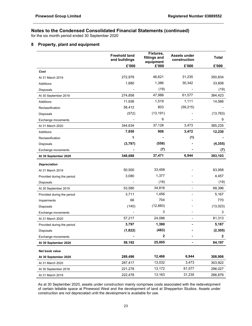for the six month period ended 30 September 2020

# 8 Property, plant and equipment

|                            | <b>Freehold land</b><br>and buildings | Fixtures,<br>fittings and<br>equipment | <b>Assets under</b><br>construction | <b>Total</b>     |
|----------------------------|---------------------------------------|----------------------------------------|-------------------------------------|------------------|
|                            | £'000                                 | £'000                                  | £'000                               | £'000            |
| Cost                       |                                       |                                        |                                     |                  |
| At 31 March 2019           | 272,978                               | 46,621                                 | 31,235                              | 350,834          |
| Additions                  | 1,880                                 | 1,386                                  | 30,342                              | 33,608           |
| Disposals                  |                                       | (19)                                   |                                     | (19)             |
| At 30 September 2019       | 274,858                               | 47,988                                 | 61,577                              | 384,423          |
| Additions                  | 11,936                                | 1,519                                  | 1,111                               | 14,566           |
| Reclassification           | 58,412                                | 803                                    | (59, 215)                           |                  |
| Disposals                  | (572)                                 | (13, 191)                              |                                     | (13, 763)        |
| Exchange movements         |                                       | 9                                      |                                     | 9                |
| At 31 March 2020           | 344,634                               | 37,128                                 | 3,473                               | 385,235          |
| <b>Additions</b>           | 7,850                                 | 908                                    | 3,472                               | 12,230           |
| Reclassification           | 1                                     |                                        | (1)                                 |                  |
| Disposals                  | (3,797)                               | (558)                                  |                                     | (4, 355)         |
| Exchange movements         |                                       | (7)                                    |                                     | (7)              |
| At 30 September 2020       | 348,688                               | 37,471                                 | 6,944                               | 393,103          |
| <b>Depreciation</b>        |                                       |                                        |                                     |                  |
| At 31 March 2019           | 50,500                                | 33,458                                 |                                     | 83,958           |
| Provided during the period | 3,080                                 | 1,377                                  |                                     | 4,457            |
| Disposals                  |                                       | (19)                                   |                                     | (19)             |
| At 30 September 2019       | 53,580                                | 34,816                                 | $\overline{\phantom{0}}$            | 88,396           |
| Provided during the period | 3,711                                 | 1,456                                  |                                     | 5,167            |
| Impairments                | 66                                    | 704                                    |                                     | 770              |
| Disposals                  | (140)                                 | (12, 883)                              |                                     | (13, 023)        |
| Exchange movements         |                                       | 3                                      |                                     | 3                |
| At 31 March 2020           | 57,217                                | 24,096                                 |                                     | 81,313           |
| Provided during the period | 3,797                                 | 1,390                                  |                                     | 5,187            |
| Disposals                  | (1,822)                               | (483)                                  |                                     | (2, 305)         |
| Exchange movements         |                                       | 2                                      |                                     | $\boldsymbol{2}$ |
| At 30 September 2020       | 59,192                                | 25,005                                 |                                     | 84,197           |
| Net book value             |                                       |                                        |                                     |                  |
| At 30 September 2020       | 289,496                               | 12,466                                 | 6,944                               | 308,906          |
| At 31 March 2020           | 287,417                               | 13,032                                 | 3,473                               | 303,922          |
| At 30 September 2019       | 221,278                               | 13,172                                 | 61,577                              | 296,027          |
| At 31 March 2019           | 222,478                               | 13,163                                 | 31,235                              | 266,876          |

 As at 30 September 2020, assets under construction mainly comprises costs associated with the redevelopment of certain lettable space at Pinewood West and the development of land at Shepperton Studios. Assets under construction are not depreciated until the development is available for use.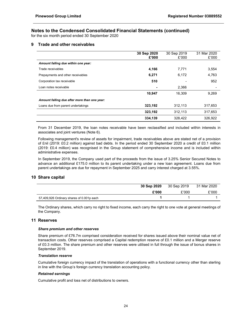for the six month period ended 30 September 2020

### 9 Trade and other receivables

|                                              | 30 Sep 2020 | 30 Sep 2019 | 31 Mar 2020 |
|----------------------------------------------|-------------|-------------|-------------|
|                                              | £'000       | £'000       | £'000       |
| Amount falling due within one year:          |             |             |             |
| Trade receivables                            | 4,166       | 7,771       | 3,554       |
| Prepayments and other receivables            | 6,271       | 6,172       | 4,763       |
| Corporation tax receivable                   | 510         |             | 952         |
| Loan notes receivable                        |             | 2.366       |             |
|                                              | 10,947      | 16.309      | 9,269       |
| Amount falling due after more than one year: |             |             |             |
| Loans due from parent undertakings           | 323,192     | 312,113     | 317,653     |
|                                              | 323,192     | 312,113     | 317,653     |
|                                              | 334,139     | 328,422     | 326,922     |

 From 31 December 2019, the loan notes receivable have been reclassified and included within interests in associates and joint ventures (Note 6).

 Following management's review of assets for impairment, trade receivables above are stated net of a provision of £nil (2019: £0.2 million) against bad debts. In the period ended 30 September 2020 a credit of £0.1 million (2019: £0.4 million) was recognised in the Group statement of comprehensive income and is included within administrative expenses.

 In September 2019, the Company used part of the proceeds from the issue of 3.25% Senior Secured Notes to advance an additional £175.0 million to its parent undertaking under a new loan agreement. Loans due from parent undertakings are due for repayment in September 2025 and carry interest charged at 3.55%.

### 10 Share capital

|                                           | 30 Sep 2020 | 30 Sep 2019 | 31 Mar 2020 |
|-------------------------------------------|-------------|-------------|-------------|
|                                           | £'000       | £'000       | £'000       |
| 57,409,926 Ordinary shares of 0.001p each |             |             |             |

 The Ordinary shares, which carry no right to fixed income, each carry the right to one vote at general meetings of the Company.

### 11 Reserves

### Share premium and other reserves

 Share premium of £76.7m comprised consideration received for shares issued above their nominal value net of transaction costs. Other reserves comprised a Capital redemption reserve of £0.1 million and a Merger reserve of £0.3 million. The share premium and other reserves were utilised in full through the issue of bonus shares in September 2019.

### Translation reserve

 Cumulative foreign currency impact of the translation of operations with a functional currency other than sterling in line with the Group's foreign currency translation accounting policy.

### Retained earnings

Cumulative profit and loss net of distributions to owners.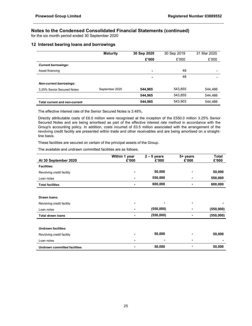for the six month period ended 30 September 2020

# 12 Interest bearing loans and borrowings

|                                      | <b>Maturity</b> | 30 Sep 2020    | 30 Sep 2019 | 31 Mar 2020 |
|--------------------------------------|-----------------|----------------|-------------|-------------|
|                                      |                 | £'000          | £'000       | £'000       |
| <b>Current borrowings:</b>           |                 |                |             |             |
| Asset financing                      |                 | $\blacksquare$ | 48          | -           |
|                                      |                 | $\blacksquare$ | 48          |             |
| <b>Non-current borrowings:</b>       |                 |                |             |             |
| 3.25% Senior Secured Notes           | September 2025  | 544.965        | 543,855     | 544,486     |
|                                      |                 | 544,965        | 543,855     | 544,486     |
| <b>Total current and non-current</b> |                 | 544,965        | 543,903     | 544,486     |

The effective interest rate of the Senior Secured Notes is 3.48%.

 Directly attributable costs of £6.0 million were recognised at the inception of the £550.0 million 3.25% Senior Secured Notes and are being amortised as part of the effective interest rate method in accordance with the Group's accounting policy. In addition, costs incurred of £0.5 million associated with the arrangement of the revolving credit facility are presented within trade and other receivables and are being amortised on a straightline basis.

These facilities are secured on certain of the principal assets of the Group.

The available and undrawn committed facilities are as follows.

|                                     | Within 1 year | $2 - 5$ years | 5+ years       | Total     |
|-------------------------------------|---------------|---------------|----------------|-----------|
| At 30 September 2020                | £'000         | £'000         | £'000          | £'000     |
| <b>Facilities:</b>                  |               |               |                |           |
| Revolving credit facility           |               | 50,000        | ۰              | 50,000    |
| Loan notes                          |               | 550,000       |                | 550,000   |
| <b>Total facilities</b>             |               | 600,000       | $\blacksquare$ | 600,000   |
|                                     |               |               |                |           |
| Drawn Ioans:                        |               |               |                |           |
| Revolving credit facility           |               |               | ۰              |           |
| Loan notes                          |               | (550,000)     | ۰              | (550,000) |
| <b>Total drawn loans</b>            |               | (550,000)     |                | (550,000) |
|                                     |               |               |                |           |
| <b>Undrawn facilities:</b>          |               |               |                |           |
| Revolving credit facility           |               | 50,000        | ۰              | 50,000    |
| Loan notes                          |               | ٠             |                |           |
| <b>Undrawn committed facilities</b> |               | 50,000        |                | 50,000    |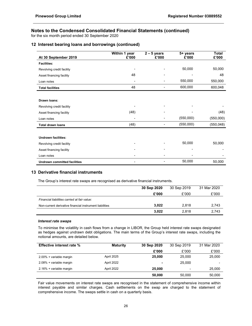for the six month period ended 30 September 2020

# 12 Interest bearing loans and borrowings (continued)

| At 30 September 2019                | Within 1 year<br>£'000 | $2 - 5$ years<br>£'000 | 5+ years<br>£'000 | <b>Total</b><br>£'000 |
|-------------------------------------|------------------------|------------------------|-------------------|-----------------------|
| <b>Facilities:</b>                  |                        |                        |                   |                       |
| Revolving credit facility           |                        |                        | 50,000            | 50,000                |
| Asset financing facility            | 48                     |                        |                   | 48                    |
| Loan notes                          |                        | ٠                      | 550,000           | 550,000               |
| <b>Total facilities</b>             | 48                     |                        | 600,000           | 600,048               |
|                                     |                        |                        |                   |                       |
| Drawn Ioans:                        |                        |                        |                   |                       |
| Revolving credit facility           |                        |                        |                   |                       |
| Asset financing facility            | (48)                   | ۰                      |                   | (48)                  |
| Loan notes                          |                        |                        | (550,000)         | (550,000)             |
| <b>Total drawn loans</b>            | (48)                   |                        | (550,000)         | (550, 048)            |
|                                     |                        |                        |                   |                       |
| <b>Undrawn facilities:</b>          |                        |                        |                   |                       |
| Revolving credit facility           |                        |                        | 50,000            | 50,000                |
| Asset financing facility            |                        |                        |                   |                       |
| Loan notes                          |                        |                        |                   |                       |
| <b>Undrawn committed facilities</b> |                        |                        | 50,000            | 50,000                |

# 13 Derivative financial instruments

The Group's interest rate swaps are recognised as derivative financial instruments.

|                                                         | 30 Sep 2020 | 30 Sep 2019 | 31 Mar 2020 |
|---------------------------------------------------------|-------------|-------------|-------------|
|                                                         | £'000       | £'000       | £'000       |
| Financial liabilities carried at fair value:            |             |             |             |
| Non-current derivative financial instrument liabilities | 3.022       | 2.818       | 2,743       |
|                                                         | 3,022       | 2.818       | 2.743       |

### Interest rate swaps

 To minimise the volatility in cash flows from a change in LIBOR, the Group held interest rate swaps designated as hedges against undrawn debt obligations. The main terms of the Group's interest rate swaps, including the notional amounts, are detailed below.

| <b>Effective interest rate %</b> | <b>Maturity</b> | 30 Sep 2020 | 30 Sep 2019              | 31 Mar 2020 |
|----------------------------------|-----------------|-------------|--------------------------|-------------|
|                                  |                 | £'000       | £'000                    | £'000       |
| 2.00% + variable margin          | April 2025      | 25,000      | 25,000                   | 25,000      |
| 2.08% + variable margin          | April 2022      |             | 25,000                   |             |
| 2.16% + variable margin          | April 2022      | 25,000      | $\overline{\phantom{0}}$ | 25,000      |
|                                  |                 | 50,000      | 50.000                   | 50,000      |

 Fair value movements on interest rate swaps are recognised in the statement of comprehensive income within interest payable and similar charges. Cash settlements on the swap are charged to the statement of comprehensive income. The swaps settle in cash on a quarterly basis.